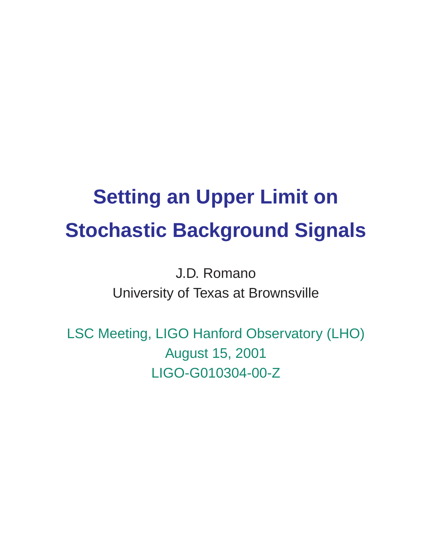# **Setting an Upper Limit on Stochastic Background Signals**

J.D. Romano University of Texas at Brownsville

LSC Meeting, LIGO Hanford Observatory (LHO) August 15, 2001 LIGO-G010304-00-Z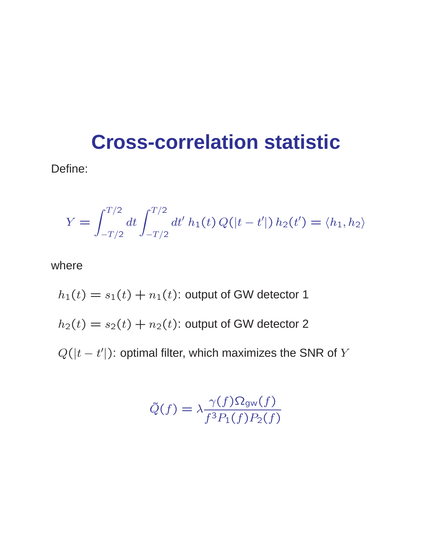#### **Cross-correlation statistic**

Define:

$$
Y = \int_{-T/2}^{T/2} dt \int_{-T/2}^{T/2} dt' h_1(t) Q(|t - t'|) h_2(t') = \langle h_1, h_2 \rangle
$$

where

 $h_1(t) = s_1(t) + n_1(t)$ : output of GW detector 1  $h_2(t) = s_2(t) + n_2(t)$ : output of GW detector 2  $Q(|t-t'|)$ : optimal filter, which maximizes the SNR of Y

$$
\tilde{Q}(f) = \lambda \frac{\gamma(f) \Omega_{\text{gw}}(f)}{f^3 P_1(f) P_2(f)}
$$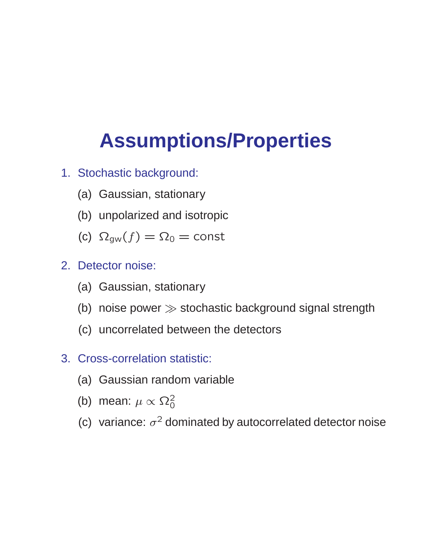## **Assumptions/Properties**

- 1. Stochastic background:
	- (a) Gaussian, stationary
	- (b) unpolarized and isotropic
	- (c)  $\Omega_{\text{gw}}(f) = \Omega_0 = \text{const}$
- 2. Detector noise:
	- (a) Gaussian, stationary
	- (b) noise power  $\gg$  stochastic background signal strength
	- (c) uncorrelated between the detectors
- 3. Cross-correlation statistic:
	- (a) Gaussian random variable
	- (b) mean:  $\mu \propto \Omega_0^2$
	- (c) variance:  $\sigma^2$  dominated by autocorrelated detector noise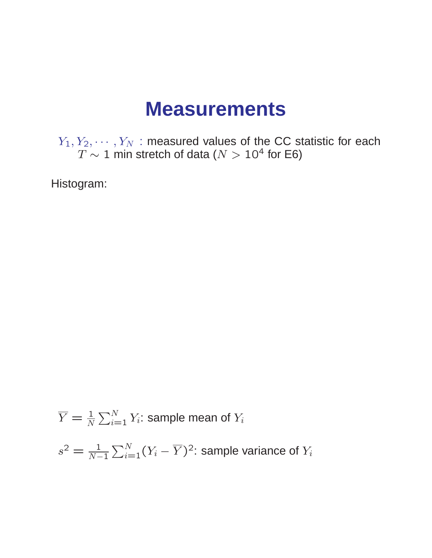#### **Measurements**

 $Y_1, Y_2, \cdots, Y_N$  : measured values of the CC statistic for each  $T\sim 1$  min stretch of data ( $N>10^4$  for E6)

Histogram:

$$
\overline{Y} = \frac{1}{N} \sum_{i=1}^{N} Y_i
$$
: sample mean of  $Y_i$   

$$
s^2 = \frac{1}{N-1} \sum_{i=1}^{N} (Y_i - \overline{Y})^2
$$
: sample variance of  $Y_i$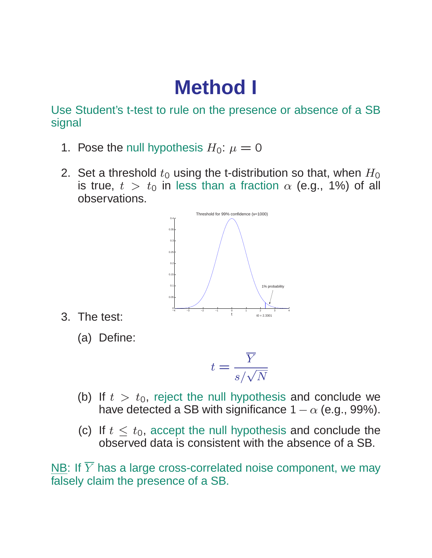### **Method I**

Use Student's t-test to rule on the presence or absence of a SB signal

- 1. Pose the null hypothesis  $H_0$ :  $\mu = 0$
- 2. Set a threshold  $t_0$  using the t-distribution so that, when  $H_0$ is true,  $t > t_0$  in less than a fraction  $\alpha$  (e.g., 1%) of all observations.



3. The test:

(a) Define:

$$
t = \frac{\overline{Y}}{s/\sqrt{N}}
$$

- (b) If  $t > t_0$ , reject the null hypothesis and conclude we have detected a SB with significance  $1 - \alpha$  (e.g., 99%).
- (c) If  $t < t_0$ , accept the null hypothesis and conclude the observed data is consistent with the absence of a SB.

NB: If  $\overline{Y}$  has a large cross-correlated noise component, we may falsely claim the presence of a SB.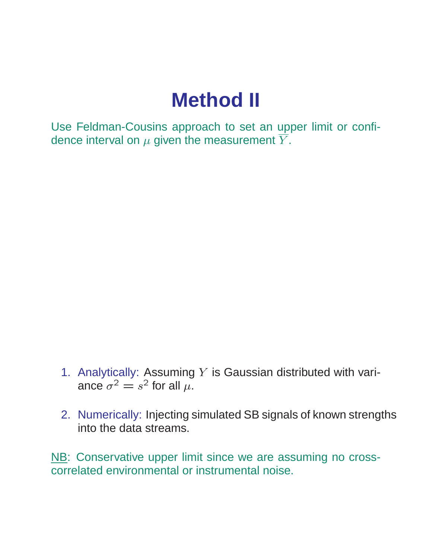### **Method II**

Use Feldman-Cousins approach to set an upper limit or confidence interval on  $\mu$  given the measurement  $\overline{Y}$ .

- 1. Analytically: Assuming  $Y$  is Gaussian distributed with variance  $\sigma^2 = s^2$  for all  $\mu$ .
- 2. Numerically: Injecting simulated SB signals of known strengths into the data streams.

NB: Conservative upper limit since we are assuming no crosscorrelated environmental or instrumental noise.